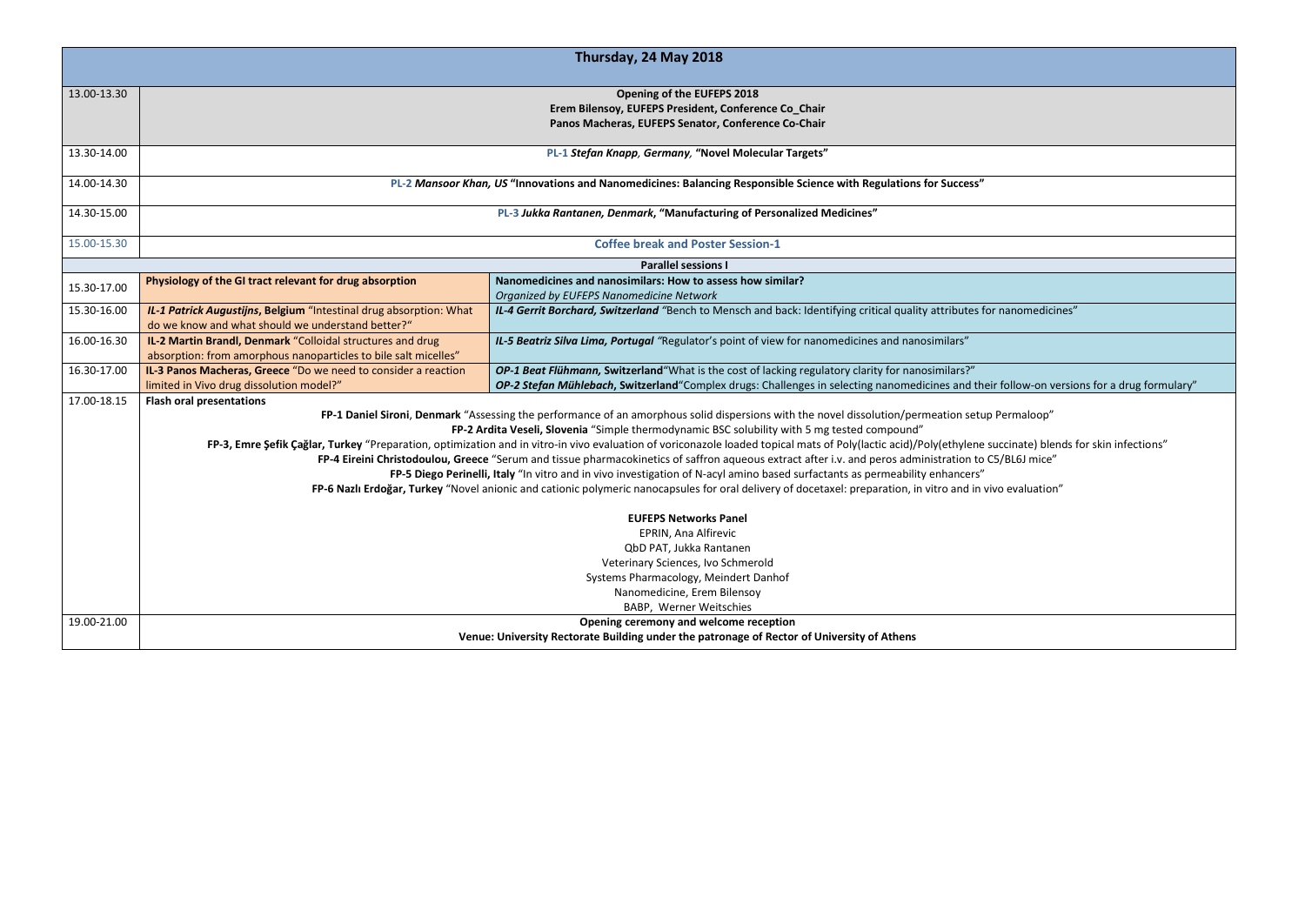|             |                                                                                                                         | Thursday, 24 May 2018                                                                                                                                                                                    |  |
|-------------|-------------------------------------------------------------------------------------------------------------------------|----------------------------------------------------------------------------------------------------------------------------------------------------------------------------------------------------------|--|
| 13.00-13.30 |                                                                                                                         | Opening of the EUFEPS 2018                                                                                                                                                                               |  |
|             |                                                                                                                         | Erem Bilensoy, EUFEPS President, Conference Co_Chair                                                                                                                                                     |  |
|             |                                                                                                                         | Panos Macheras, EUFEPS Senator, Conference Co-Chair                                                                                                                                                      |  |
| 13.30-14.00 |                                                                                                                         | PL-1 Stefan Knapp, Germany, "Novel Molecular Targets"                                                                                                                                                    |  |
| 14.00-14.30 | PL-2 Mansoor Khan, US "Innovations and Nanomedicines: Balancing Responsible Science with Regulations for Success"       |                                                                                                                                                                                                          |  |
| 14.30-15.00 | PL-3 Jukka Rantanen, Denmark, "Manufacturing of Personalized Medicines"                                                 |                                                                                                                                                                                                          |  |
| 15.00-15.30 |                                                                                                                         | <b>Coffee break and Poster Session-1</b>                                                                                                                                                                 |  |
|             |                                                                                                                         | <b>Parallel sessions I</b>                                                                                                                                                                               |  |
| 15.30-17.00 | Physiology of the GI tract relevant for drug absorption                                                                 | Nanomedicines and nanosimilars: How to assess how similar?                                                                                                                                               |  |
|             |                                                                                                                         | Organized by EUFEPS Nanomedicine Network                                                                                                                                                                 |  |
| 15.30-16.00 | IL-1 Patrick Augustijns, Belgium "Intestinal drug absorption: What<br>do we know and what should we understand better?" | IL-4 Gerrit Borchard, Switzerland "Bench to Mensch and back: Identifying critical quality attributes for nanomedicines"                                                                                  |  |
| 16.00-16.30 | IL-2 Martin Brandl, Denmark "Colloidal structures and drug                                                              | IL-5 Beatriz Silva Lima, Portugal "Regulator's point of view for nanomedicines and nanosimilars"                                                                                                         |  |
|             | absorption: from amorphous nanoparticles to bile salt micelles"                                                         |                                                                                                                                                                                                          |  |
| 16.30-17.00 | IL-3 Panos Macheras, Greece "Do we need to consider a reaction                                                          | OP-1 Beat Flühmann, Switzerland"What is the cost of lacking regulatory clarity for nanosimilars?"                                                                                                        |  |
|             | limited in Vivo drug dissolution model?"                                                                                | OP-2 Stefan Mühlebach, Switzerland "Complex drugs: Challenges in selecting nanomedicines and their follow-on versions for a drug formulary"                                                              |  |
| 17.00-18.15 | <b>Flash oral presentations</b>                                                                                         |                                                                                                                                                                                                          |  |
|             |                                                                                                                         | FP-1 Daniel Sironi, Denmark "Assessing the performance of an amorphous solid dispersions with the novel dissolution/permeation setup Permaloop"                                                          |  |
|             |                                                                                                                         | FP-2 Ardita Veseli, Slovenia "Simple thermodynamic BSC solubility with 5 mg tested compound"                                                                                                             |  |
|             |                                                                                                                         | FP-3, Emre Sefik Çağlar, Turkey "Preparation, optimization and in vitro-in vivo evaluation of voriconazole loaded topical mats of Poly(lactic acid)/Poly(ethylene succinate) blends for skin infections" |  |
|             |                                                                                                                         | FP-4 Eireini Christodoulou, Greece "Serum and tissue pharmacokinetics of saffron aqueous extract after i.v. and peros administration to C5/BL6J mice"                                                    |  |
|             |                                                                                                                         | FP-5 Diego Perinelli, Italy "In vitro and in vivo investigation of N-acyl amino based surfactants as permeability enhancers"                                                                             |  |
|             |                                                                                                                         | FP-6 Nazlı Erdoğar, Turkey "Novel anionic and cationic polymeric nanocapsules for oral delivery of docetaxel: preparation, in vitro and in vivo evaluation"                                              |  |
|             |                                                                                                                         | <b>EUFEPS Networks Panel</b>                                                                                                                                                                             |  |
|             |                                                                                                                         | EPRIN, Ana Alfirevic                                                                                                                                                                                     |  |
|             |                                                                                                                         | QbD PAT, Jukka Rantanen                                                                                                                                                                                  |  |
|             |                                                                                                                         | Veterinary Sciences, Ivo Schmerold                                                                                                                                                                       |  |
|             |                                                                                                                         | Systems Pharmacology, Meindert Danhof                                                                                                                                                                    |  |
|             |                                                                                                                         | Nanomedicine, Erem Bilensoy                                                                                                                                                                              |  |
|             |                                                                                                                         | BABP, Werner Weitschies                                                                                                                                                                                  |  |
| 19.00-21.00 |                                                                                                                         | Opening ceremony and welcome reception                                                                                                                                                                   |  |
|             |                                                                                                                         | Venue: University Rectorate Building under the patronage of Rector of University of Athens                                                                                                               |  |

| ations for Success"                                                                              |  |
|--------------------------------------------------------------------------------------------------|--|
|                                                                                                  |  |
|                                                                                                  |  |
|                                                                                                  |  |
|                                                                                                  |  |
| quality attributes for nanomedicines"                                                            |  |
| nd nanosimilars"                                                                                 |  |
| or nanosimilars?"<br>nomedicines and their follow-on versions for a drug formulary"              |  |
| on/permeation setup Permaloop"                                                                   |  |
| ound"                                                                                            |  |
| acid)/Poly(ethylene succinate) blends for skin infections"<br>os administration to C5/BL6J mice" |  |
| eability enhancers"<br>tion, in vitro and in vivo evaluation"                                    |  |
|                                                                                                  |  |
|                                                                                                  |  |
|                                                                                                  |  |
|                                                                                                  |  |
|                                                                                                  |  |
| thens                                                                                            |  |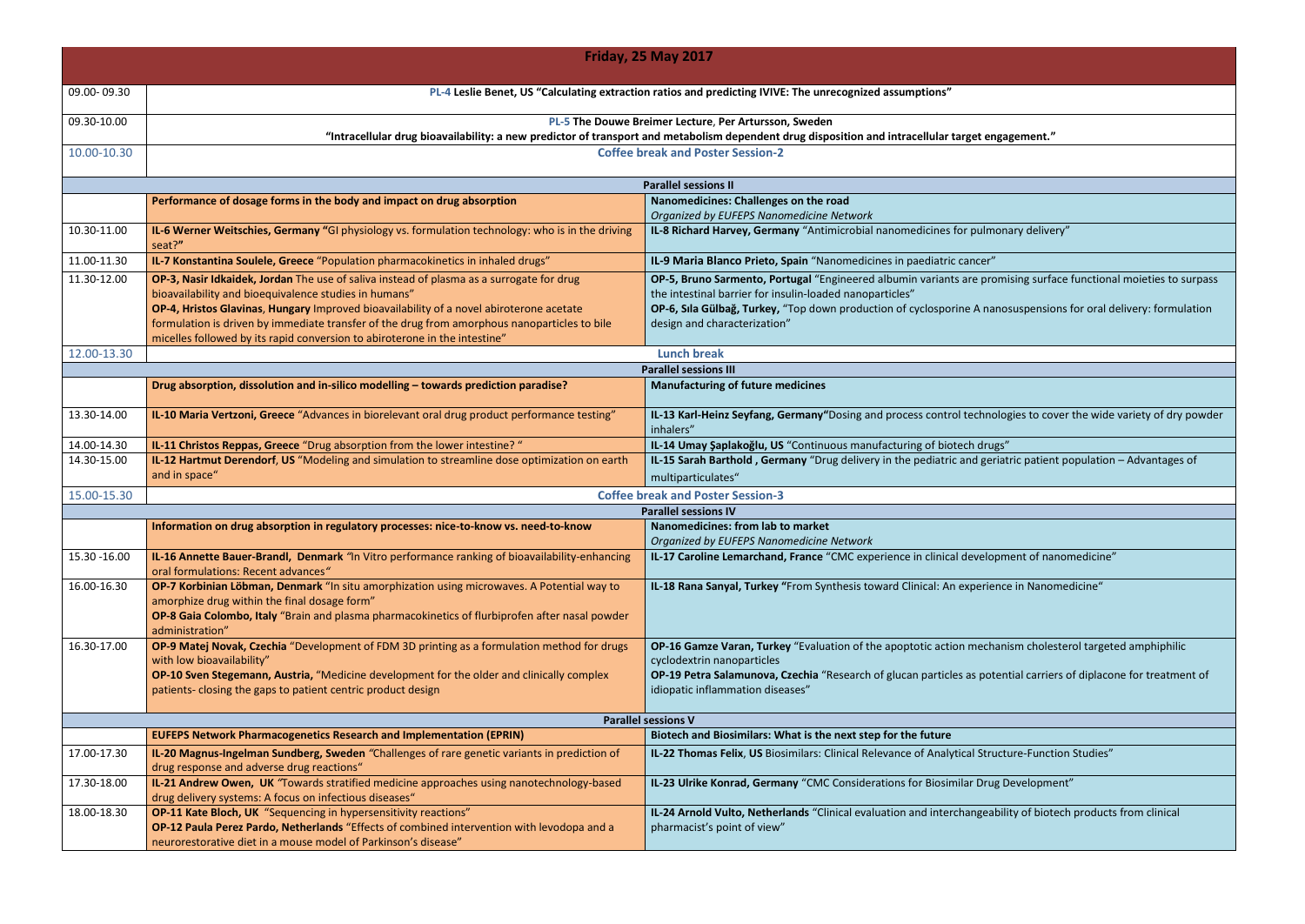|               |                                                                                                                                                                                                                                                                                                                                                                                                                            | <b>Friday, 25 May 2017</b>                                                                                                                                                                                                                                     |
|---------------|----------------------------------------------------------------------------------------------------------------------------------------------------------------------------------------------------------------------------------------------------------------------------------------------------------------------------------------------------------------------------------------------------------------------------|----------------------------------------------------------------------------------------------------------------------------------------------------------------------------------------------------------------------------------------------------------------|
| 09.00-09.30   |                                                                                                                                                                                                                                                                                                                                                                                                                            | PL-4 Leslie Benet, US "Calculating extraction ratios and predicting IVIVE: The unrecognized assumptions"                                                                                                                                                       |
| 09.30-10.00   |                                                                                                                                                                                                                                                                                                                                                                                                                            | PL-5 The Douwe Breimer Lecture, Per Artursson, Sweden<br>"Intracellular drug bioavailability: a new predictor of transport and metabolism dependent drug disposition and intracellular target engagement."                                                     |
| 10.00-10.30   |                                                                                                                                                                                                                                                                                                                                                                                                                            | <b>Coffee break and Poster Session-2</b>                                                                                                                                                                                                                       |
|               |                                                                                                                                                                                                                                                                                                                                                                                                                            | <b>Parallel sessions II</b>                                                                                                                                                                                                                                    |
|               | Performance of dosage forms in the body and impact on drug absorption                                                                                                                                                                                                                                                                                                                                                      | Nanomedicines: Challenges on the road<br>Organized by EUFEPS Nanomedicine Network                                                                                                                                                                              |
| 10.30-11.00   | IL-6 Werner Weitschies, Germany "GI physiology vs. formulation technology: who is in the driving<br>seat?"                                                                                                                                                                                                                                                                                                                 | IL-8 Richard Harvey, Germany "Antimicrobial nanomedicines for pulmonary delive                                                                                                                                                                                 |
| 11.00-11.30   | IL-7 Konstantina Soulele, Greece "Population pharmacokinetics in inhaled drugs"                                                                                                                                                                                                                                                                                                                                            | IL-9 Maria Blanco Prieto, Spain "Nanomedicines in paediatric cancer"                                                                                                                                                                                           |
| 11.30-12.00   | OP-3, Nasir Idkaidek, Jordan The use of saliva instead of plasma as a surrogate for drug<br>bioavailability and bioequivalence studies in humans"<br>OP-4, Hristos Glavinas, Hungary Improved bioavailability of a novel abiroterone acetate<br>formulation is driven by immediate transfer of the drug from amorphous nanoparticles to bile<br>micelles followed by its rapid conversion to abiroterone in the intestine" | OP-5, Bruno Sarmento, Portugal "Engineered albumin variants are promising surfa<br>the intestinal barrier for insulin-loaded nanoparticles"<br>OP-6, Sila Gülbağ, Turkey, "Top down production of cyclosporine A nanosuspensic<br>design and characterization" |
| 12.00-13.30   |                                                                                                                                                                                                                                                                                                                                                                                                                            | <b>Lunch break</b>                                                                                                                                                                                                                                             |
|               |                                                                                                                                                                                                                                                                                                                                                                                                                            | <b>Parallel sessions III</b>                                                                                                                                                                                                                                   |
|               | Drug absorption, dissolution and in-silico modelling - towards prediction paradise?                                                                                                                                                                                                                                                                                                                                        | <b>Manufacturing of future medicines</b>                                                                                                                                                                                                                       |
| 13.30-14.00   | IL-10 Maria Vertzoni, Greece "Advances in biorelevant oral drug product performance testing"                                                                                                                                                                                                                                                                                                                               | IL-13 Karl-Heinz Seyfang, Germany"Dosing and process control technologies to co<br>inhalers"                                                                                                                                                                   |
| 14.00-14.30   | IL-11 Christos Reppas, Greece "Drug absorption from the lower intestine? "                                                                                                                                                                                                                                                                                                                                                 | IL-14 Umay Şaplakoğlu, US "Continuous manufacturing of biotech drugs"                                                                                                                                                                                          |
| 14.30-15.00   | IL-12 Hartmut Derendorf, US "Modeling and simulation to streamline dose optimization on earth<br>and in space"                                                                                                                                                                                                                                                                                                             | IL-15 Sarah Barthold, Germany "Drug delivery in the pediatric and geriatric patien<br>multiparticulates"                                                                                                                                                       |
| 15.00-15.30   |                                                                                                                                                                                                                                                                                                                                                                                                                            | <b>Coffee break and Poster Session-3</b>                                                                                                                                                                                                                       |
|               |                                                                                                                                                                                                                                                                                                                                                                                                                            | <b>Parallel sessions IV</b>                                                                                                                                                                                                                                    |
|               | Information on drug absorption in regulatory processes: nice-to-know vs. need-to-know                                                                                                                                                                                                                                                                                                                                      | Nanomedicines: from lab to market                                                                                                                                                                                                                              |
|               |                                                                                                                                                                                                                                                                                                                                                                                                                            | Organized by EUFEPS Nanomedicine Network                                                                                                                                                                                                                       |
| 15.30 - 16.00 | IL-16 Annette Bauer-Brandl, Denmark "In Vitro performance ranking of bioavailability-enhancing<br>oral formulations: Recent advances"                                                                                                                                                                                                                                                                                      | IL-17 Caroline Lemarchand, France "CMC experience in clinical development of na                                                                                                                                                                                |
| 16.00-16.30   | OP-7 Korbinian Löbman, Denmark "In situ amorphization using microwaves. A Potential way to<br>amorphize drug within the final dosage form"<br>OP-8 Gaia Colombo, Italy "Brain and plasma pharmacokinetics of flurbiprofen after nasal powder<br>administration"                                                                                                                                                            | IL-18 Rana Sanyal, Turkey "From Synthesis toward Clinical: An experience in Nano                                                                                                                                                                               |
| 16.30-17.00   | OP-9 Matej Novak, Czechia "Development of FDM 3D printing as a formulation method for drugs<br>with low bioavailability"<br>OP-10 Sven Stegemann, Austria, "Medicine development for the older and clinically complex<br>patients-closing the gaps to patient centric product design                                                                                                                                       | OP-16 Gamze Varan, Turkey "Evaluation of the apoptotic action mechanism chole<br>cyclodextrin nanoparticles<br>OP-19 Petra Salamunova, Czechia "Research of glucan particles as potential carrie<br>idiopatic inflammation diseases"                           |
|               |                                                                                                                                                                                                                                                                                                                                                                                                                            | <b>Parallel sessions V</b>                                                                                                                                                                                                                                     |
|               | <b>EUFEPS Network Pharmacogenetics Research and Implementation (EPRIN)</b>                                                                                                                                                                                                                                                                                                                                                 | Biotech and Biosimilars: What is the next step for the future                                                                                                                                                                                                  |
| 17.00-17.30   | IL-20 Magnus-Ingelman Sundberg, Sweden "Challenges of rare genetic variants in prediction of<br>drug response and adverse drug reactions"                                                                                                                                                                                                                                                                                  | IL-22 Thomas Felix, US Biosimilars: Clinical Relevance of Analytical Structure-Funct                                                                                                                                                                           |
| 17.30-18.00   | IL-21 Andrew Owen, UK "Towards stratified medicine approaches using nanotechnology-based<br>drug delivery systems: A focus on infectious diseases"                                                                                                                                                                                                                                                                         | IL-23 Ulrike Konrad, Germany "CMC Considerations for Biosimilar Drug Developm                                                                                                                                                                                  |
| 18.00-18.30   | OP-11 Kate Bloch, UK "Sequencing in hypersensitivity reactions"<br>OP-12 Paula Perez Pardo, Netherlands "Effects of combined intervention with levodopa and a<br>neurorestorative diet in a mouse model of Parkinson's disease"                                                                                                                                                                                            | IL-24 Arnold Vulto, Netherlands "Clinical evaluation and interchangeability of biot<br>pharmacist's point of view"                                                                                                                                             |

**Ilmonary delivery"** 

promising surface functional moieties to surpass

**nanosuspensions for oral delivery: formulation** 

hnologies to cover the wide variety of dry powder

**IL-15 Sparaholdor <b>Bartholo** - Advantages of

**IL-17** elopment of nanomedicine"

**IL-18 Rana Synthesis Trience in Nanomedicine"** 

**Phanism cholesterol targeted amphiphilic** 

potential carriers of diplacone for treatment of

**Ila-22 India**<br>Intertwilar Studies

**IL-23 IL-23 Development** 

**IL-24 IR-24 IS-24 Ariolety of biotech products from clinical**